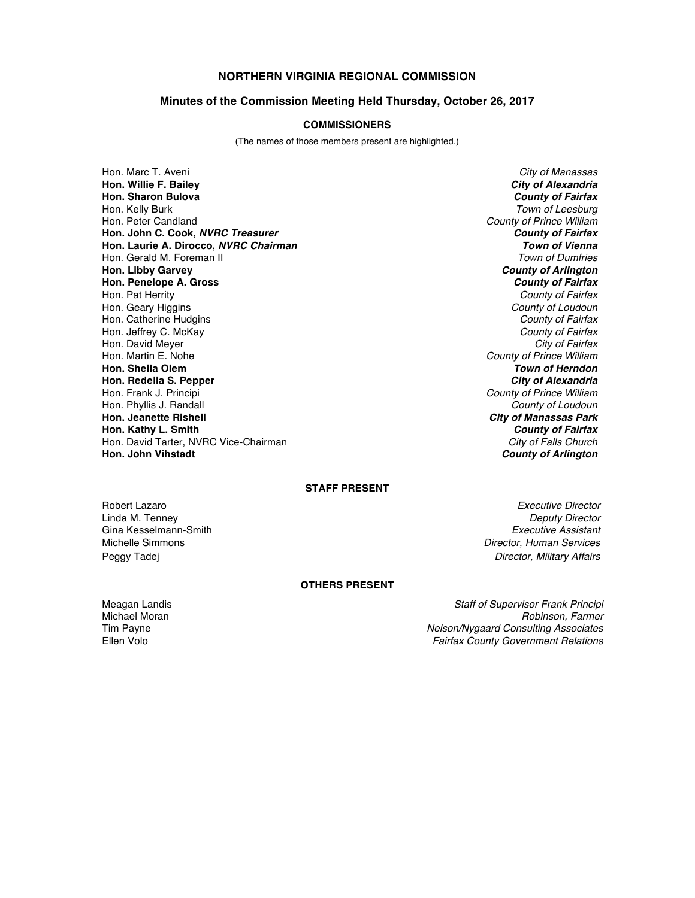# **NORTHERN VIRGINIA REGIONAL COMMISSION**

## **Minutes of the Commission Meeting Held Thursday, October 26, 2017**

## **COMMISSIONERS**

(The names of those members present are highlighted.)

Hon. Marc T. Aveni *City of Manassas* **Hon. Willie F. Bailey** *City of Alexandria* **Hon. Sharon Bulova** *County of Fairfax* Hon. Kelly Burk *Town of Leesburg* Hon. Peter Candland *County of Prince William* **Hon. John C. Cook,** *NVRC Treasurer County of Fairfax* **Hon. Laurie A. Dirocco,** *NVRC Chairman Town of Vienna* Hon. Gerald M. Foreman II *Town of Dumfries* **Hon. Libby Garvey Hon. Penelope A. Gross** *County of Fairfax* Hon. Geary Higgins *County of Loudoun* Hon. Catherine Hudgins *County of Fairfax* Hon. Jeffrey C. McKay *County of Fairfax* Hon. David Meyer *City of Fairfax* Hon. Martin E. Nohe *County of Prince William* **Hon. Sheila Olem** *Town of Herndon* **Hon. Redella S. Pepper** Hon. Frank J. Principi *County of Prince William* Hon. Phyllis J. Randall *County of Loudoun* **Hon. Kathy L. Smith** *County of Fairfax* Hon. David Tarter, NVRC Vice-Chairman *City of Falls Church*

**County of Fairfax City of Manassas Park County of Arlington** 

### **STAFF PRESENT**

Robert Lazaro *Executive Director* Gina Kesselmann-Smith<br>Michelle Simmons

Linda M. Tenney *Deputy Director* **Director, Human Services** Peggy Tadej *Director, Military Affairs*

### **OTHERS PRESENT**

Meagan Landis *Staff of Supervisor Frank Principi* Michael Moran *Robinson, Farmer* Tim Payne *Nelson/Nygaard Consulting Associates* Ellen Volo *Fairfax County Government Relations*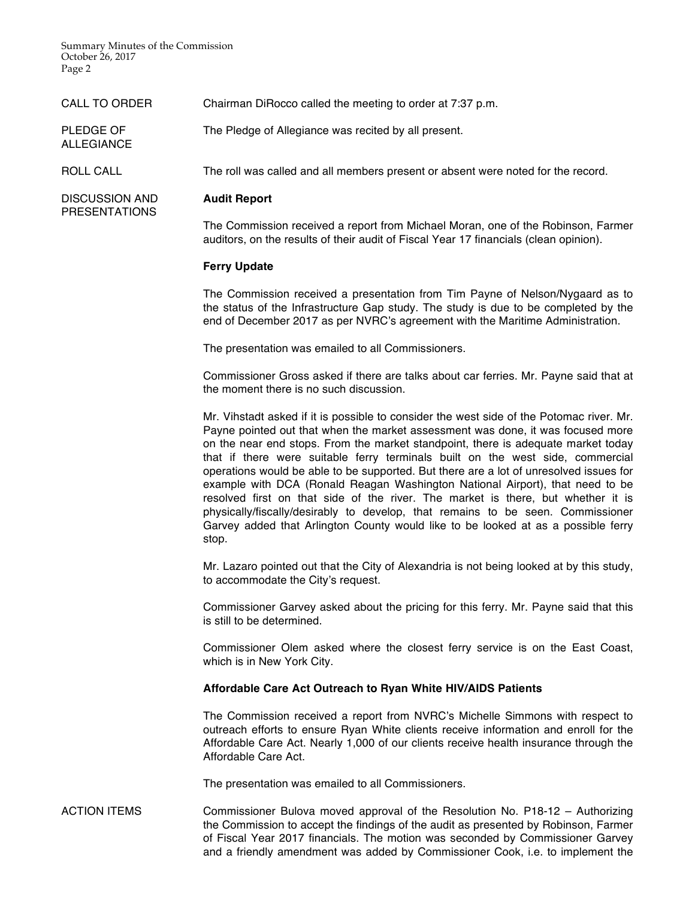Summary Minutes of the Commission October 26, 2017 Page 2

| <b>CALL TO ORDER</b>                          | Chairman DiRocco called the meeting to order at 7:37 p.m.                                                                                                                                                                                                                                                                                                                                                                                                                                                                                                                                                                                                                                                                                                                                          |
|-----------------------------------------------|----------------------------------------------------------------------------------------------------------------------------------------------------------------------------------------------------------------------------------------------------------------------------------------------------------------------------------------------------------------------------------------------------------------------------------------------------------------------------------------------------------------------------------------------------------------------------------------------------------------------------------------------------------------------------------------------------------------------------------------------------------------------------------------------------|
| PLEDGE OF<br><b>ALLEGIANCE</b>                | The Pledge of Allegiance was recited by all present.                                                                                                                                                                                                                                                                                                                                                                                                                                                                                                                                                                                                                                                                                                                                               |
| <b>ROLL CALL</b>                              | The roll was called and all members present or absent were noted for the record.                                                                                                                                                                                                                                                                                                                                                                                                                                                                                                                                                                                                                                                                                                                   |
| <b>DISCUSSION AND</b><br><b>PRESENTATIONS</b> | <b>Audit Report</b>                                                                                                                                                                                                                                                                                                                                                                                                                                                                                                                                                                                                                                                                                                                                                                                |
|                                               | The Commission received a report from Michael Moran, one of the Robinson, Farmer<br>auditors, on the results of their audit of Fiscal Year 17 financials (clean opinion).                                                                                                                                                                                                                                                                                                                                                                                                                                                                                                                                                                                                                          |
|                                               | <b>Ferry Update</b>                                                                                                                                                                                                                                                                                                                                                                                                                                                                                                                                                                                                                                                                                                                                                                                |
|                                               | The Commission received a presentation from Tim Payne of Nelson/Nygaard as to<br>the status of the Infrastructure Gap study. The study is due to be completed by the<br>end of December 2017 as per NVRC's agreement with the Maritime Administration.                                                                                                                                                                                                                                                                                                                                                                                                                                                                                                                                             |
|                                               | The presentation was emailed to all Commissioners.                                                                                                                                                                                                                                                                                                                                                                                                                                                                                                                                                                                                                                                                                                                                                 |
|                                               | Commissioner Gross asked if there are talks about car ferries. Mr. Payne said that at<br>the moment there is no such discussion.                                                                                                                                                                                                                                                                                                                                                                                                                                                                                                                                                                                                                                                                   |
|                                               | Mr. Vihstadt asked if it is possible to consider the west side of the Potomac river. Mr.<br>Payne pointed out that when the market assessment was done, it was focused more<br>on the near end stops. From the market standpoint, there is adequate market today<br>that if there were suitable ferry terminals built on the west side, commercial<br>operations would be able to be supported. But there are a lot of unresolved issues for<br>example with DCA (Ronald Reagan Washington National Airport), that need to be<br>resolved first on that side of the river. The market is there, but whether it is<br>physically/fiscally/desirably to develop, that remains to be seen. Commissioner<br>Garvey added that Arlington County would like to be looked at as a possible ferry<br>stop. |
|                                               | Mr. Lazaro pointed out that the City of Alexandria is not being looked at by this study,<br>to accommodate the City's request.                                                                                                                                                                                                                                                                                                                                                                                                                                                                                                                                                                                                                                                                     |
|                                               | Commissioner Garvey asked about the pricing for this ferry. Mr. Payne said that this<br>is still to be determined.                                                                                                                                                                                                                                                                                                                                                                                                                                                                                                                                                                                                                                                                                 |
|                                               | Commissioner Olem asked where the closest ferry service is on the East Coast,<br>which is in New York City.                                                                                                                                                                                                                                                                                                                                                                                                                                                                                                                                                                                                                                                                                        |
|                                               | Affordable Care Act Outreach to Ryan White HIV/AIDS Patients                                                                                                                                                                                                                                                                                                                                                                                                                                                                                                                                                                                                                                                                                                                                       |
|                                               | The Commission received a report from NVRC's Michelle Simmons with respect to<br>outreach efforts to ensure Ryan White clients receive information and enroll for the<br>Affordable Care Act. Nearly 1,000 of our clients receive health insurance through the<br>Affordable Care Act.                                                                                                                                                                                                                                                                                                                                                                                                                                                                                                             |
|                                               | The presentation was emailed to all Commissioners.                                                                                                                                                                                                                                                                                                                                                                                                                                                                                                                                                                                                                                                                                                                                                 |
| <b>ACTION ITEMS</b>                           | Commissioner Bulova moved approval of the Resolution No. P18-12 - Authorizing<br>the Commission to accept the findings of the audit as presented by Robinson, Farmer                                                                                                                                                                                                                                                                                                                                                                                                                                                                                                                                                                                                                               |

of Fiscal Year 2017 financials. The motion was seconded by Commissioner Garvey and a friendly amendment was added by Commissioner Cook, i.e. to implement the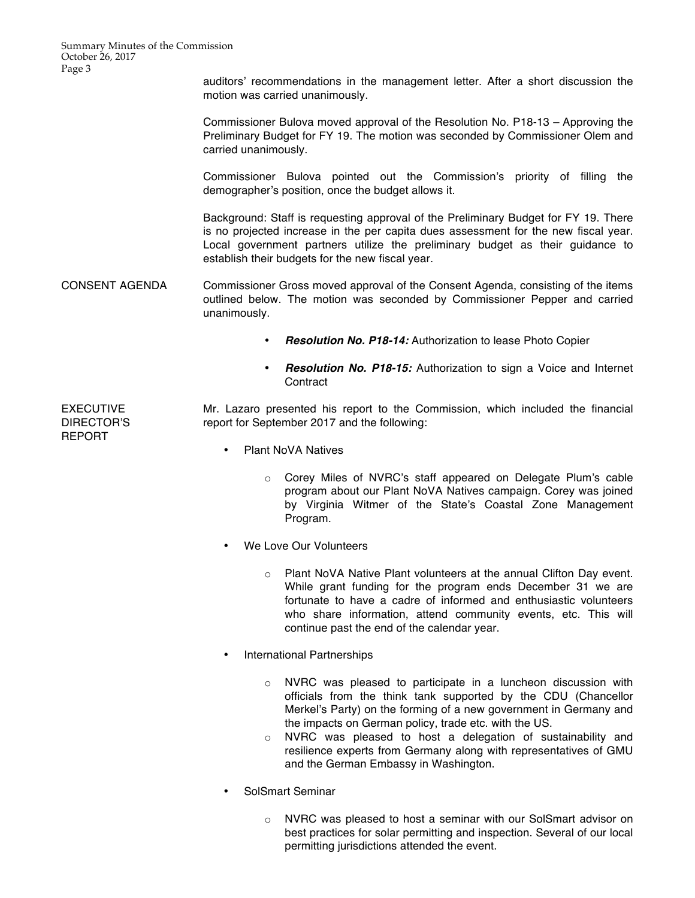Summary Minutes of the Commission October 26, 2017 Page 3

> auditors' recommendations in the management letter. After a short discussion the motion was carried unanimously.

> Commissioner Bulova moved approval of the Resolution No. P18-13 – Approving the Preliminary Budget for FY 19. The motion was seconded by Commissioner Olem and carried unanimously.

> Commissioner Bulova pointed out the Commission's priority of filling the demographer's position, once the budget allows it.

> Background: Staff is requesting approval of the Preliminary Budget for FY 19. There is no projected increase in the per capita dues assessment for the new fiscal year. Local government partners utilize the preliminary budget as their guidance to establish their budgets for the new fiscal year.

CONSENT AGENDA Commissioner Gross moved approval of the Consent Agenda, consisting of the items outlined below. The motion was seconded by Commissioner Pepper and carried unanimously.

- *Resolution No. P18-14:* Authorization to lease Photo Copier
- *Resolution No. P18-15:* Authorization to sign a Voice and Internet **Contract**

EXECUTIVE DIRECTOR'S REPORT Mr. Lazaro presented his report to the Commission, which included the financial report for September 2017 and the following:

- Plant NoVA Natives
	- o Corey Miles of NVRC's staff appeared on Delegate Plum's cable program about our Plant NoVA Natives campaign. Corey was joined by Virginia Witmer of the State's Coastal Zone Management Program.
- We Love Our Volunteers
	- o Plant NoVA Native Plant volunteers at the annual Clifton Day event. While grant funding for the program ends December 31 we are fortunate to have a cadre of informed and enthusiastic volunteers who share information, attend community events, etc. This will continue past the end of the calendar year.
- International Partnerships
	- o NVRC was pleased to participate in a luncheon discussion with officials from the think tank supported by the CDU (Chancellor Merkel's Party) on the forming of a new government in Germany and the impacts on German policy, trade etc. with the US.
	- o NVRC was pleased to host a delegation of sustainability and resilience experts from Germany along with representatives of GMU and the German Embassy in Washington.
- SolSmart Seminar
	- o NVRC was pleased to host a seminar with our SolSmart advisor on best practices for solar permitting and inspection. Several of our local permitting jurisdictions attended the event.